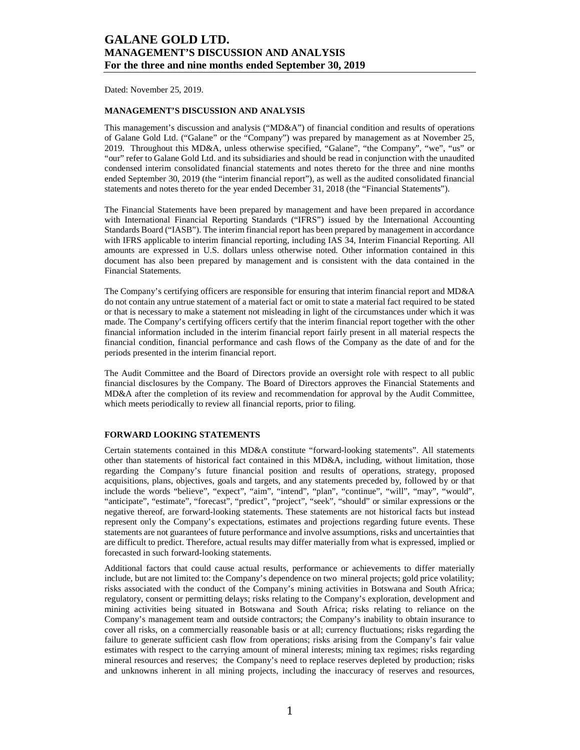Dated: November 25, 2019.

### **MANAGEMENT'S DISCUSSION AND ANALYSIS**

This management's discussion and analysis ("MD&A") of financial condition and results of operations of Galane Gold Ltd. ("Galane" or the "Company") was prepared by management as at November 25, 2019. Throughout this MD&A, unless otherwise specified, "Galane", "the Company", "we", "us" or "our" refer to Galane Gold Ltd. and its subsidiaries and should be read in conjunction with the unaudited condensed interim consolidated financial statements and notes thereto for the three and nine months ended September 30, 2019 (the "interim financial report"), as well as the audited consolidated financial statements and notes thereto for the year ended December 31, 2018 (the "Financial Statements").

The Financial Statements have been prepared by management and have been prepared in accordance with International Financial Reporting Standards ("IFRS") issued by the International Accounting Standards Board ("IASB"). The interim financial report has been prepared by management in accordance with IFRS applicable to interim financial reporting, including IAS 34, Interim Financial Reporting. All amounts are expressed in U.S. dollars unless otherwise noted. Other information contained in this document has also been prepared by management and is consistent with the data contained in the Financial Statements.

The Company's certifying officers are responsible for ensuring that interim financial report and MD&A do not contain any untrue statement of a material fact or omit to state a material fact required to be stated or that is necessary to make a statement not misleading in light of the circumstances under which it was made. The Company's certifying officers certify that the interim financial report together with the other financial information included in the interim financial report fairly present in all material respects the financial condition, financial performance and cash flows of the Company as the date of and for the periods presented in the interim financial report.

The Audit Committee and the Board of Directors provide an oversight role with respect to all public financial disclosures by the Company. The Board of Directors approves the Financial Statements and MD&A after the completion of its review and recommendation for approval by the Audit Committee, which meets periodically to review all financial reports, prior to filing.

#### **FORWARD LOOKING STATEMENTS**

Certain statements contained in this MD&A constitute "forward-looking statements". All statements other than statements of historical fact contained in this MD&A, including, without limitation, those regarding the Company's future financial position and results of operations, strategy, proposed acquisitions, plans, objectives, goals and targets, and any statements preceded by, followed by or that include the words "believe", "expect", "aim", "intend", "plan", "continue", "will", "may", "would", "anticipate", "estimate", "forecast", "predict", "project", "seek", "should" or similar expressions or the negative thereof, are forward-looking statements. These statements are not historical facts but instead represent only the Company's expectations, estimates and projections regarding future events. These statements are not guarantees of future performance and involve assumptions, risks and uncertainties that are difficult to predict. Therefore, actual results may differ materially from what is expressed, implied or forecasted in such forward-looking statements.

Additional factors that could cause actual results, performance or achievements to differ materially include, but are not limited to: the Company's dependence on two mineral projects; gold price volatility; risks associated with the conduct of the Company's mining activities in Botswana and South Africa; regulatory, consent or permitting delays; risks relating to the Company's exploration, development and mining activities being situated in Botswana and South Africa; risks relating to reliance on the Company's management team and outside contractors; the Company's inability to obtain insurance to cover all risks, on a commercially reasonable basis or at all; currency fluctuations; risks regarding the failure to generate sufficient cash flow from operations; risks arising from the Company's fair value estimates with respect to the carrying amount of mineral interests; mining tax regimes; risks regarding mineral resources and reserves; the Company's need to replace reserves depleted by production; risks and unknowns inherent in all mining projects, including the inaccuracy of reserves and resources,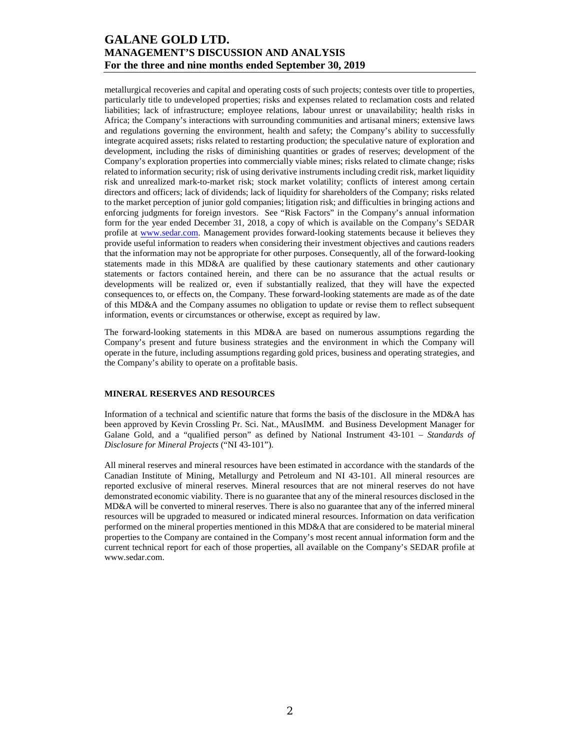metallurgical recoveries and capital and operating costs of such projects; contests over title to properties, particularly title to undeveloped properties; risks and expenses related to reclamation costs and related liabilities; lack of infrastructure; employee relations, labour unrest or unavailability; health risks in Africa; the Company's interactions with surrounding communities and artisanal miners; extensive laws and regulations governing the environment, health and safety; the Company's ability to successfully integrate acquired assets; risks related to restarting production; the speculative nature of exploration and development, including the risks of diminishing quantities or grades of reserves; development of the Company's exploration properties into commercially viable mines; risks related to climate change; risks related to information security; risk of using derivative instruments including credit risk, market liquidity risk and unrealized mark-to-market risk; stock market volatility; conflicts of interest among certain directors and officers; lack of dividends; lack of liquidity for shareholders of the Company; risks related to the market perception of junior gold companies; litigation risk; and difficulties in bringing actions and enforcing judgments for foreign investors. See "Risk Factors" in the Company's annual information form for the year ended December 31, 2018, a copy of which is available on the Company's SEDAR profile at www.sedar.com. Management provides forward-looking statements because it believes they provide useful information to readers when considering their investment objectives and cautions readers that the information may not be appropriate for other purposes. Consequently, all of the forward-looking statements made in this MD&A are qualified by these cautionary statements and other cautionary statements or factors contained herein, and there can be no assurance that the actual results or developments will be realized or, even if substantially realized, that they will have the expected consequences to, or effects on, the Company. These forward-looking statements are made as of the date of this MD&A and the Company assumes no obligation to update or revise them to reflect subsequent information, events or circumstances or otherwise, except as required by law.

The forward-looking statements in this MD&A are based on numerous assumptions regarding the Company's present and future business strategies and the environment in which the Company will operate in the future, including assumptions regarding gold prices, business and operating strategies, and the Company's ability to operate on a profitable basis.

## **MINERAL RESERVES AND RESOURCES**

Information of a technical and scientific nature that forms the basis of the disclosure in the MD&A has been approved by Kevin Crossling Pr. Sci. Nat., MAusIMM. and Business Development Manager for Galane Gold, and a "qualified person" as defined by National Instrument 43-101 – *Standards of Disclosure for Mineral Projects* ("NI 43-101").

All mineral reserves and mineral resources have been estimated in accordance with the standards of the Canadian Institute of Mining, Metallurgy and Petroleum and NI 43-101. All mineral resources are reported exclusive of mineral reserves. Mineral resources that are not mineral reserves do not have demonstrated economic viability. There is no guarantee that any of the mineral resources disclosed in the MD&A will be converted to mineral reserves. There is also no guarantee that any of the inferred mineral resources will be upgraded to measured or indicated mineral resources. Information on data verification performed on the mineral properties mentioned in this MD&A that are considered to be material mineral properties to the Company are contained in the Company's most recent annual information form and the current technical report for each of those properties, all available on the Company's SEDAR profile at www.sedar.com.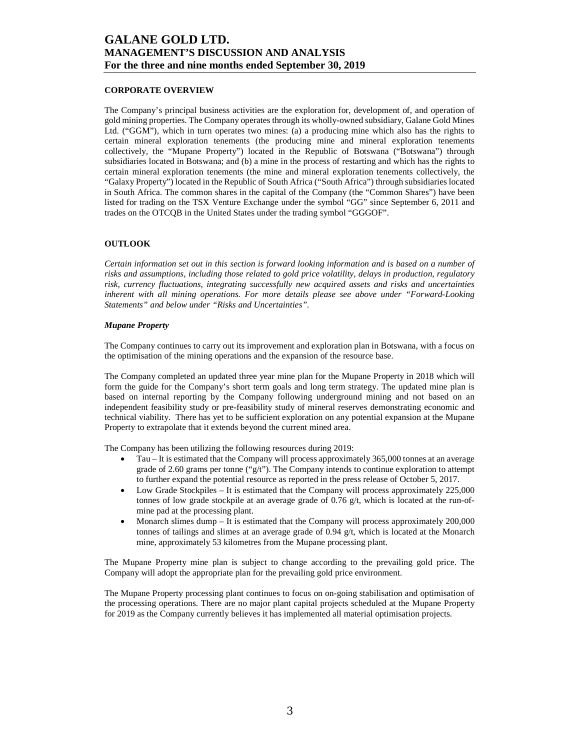### **CORPORATE OVERVIEW**

The Company's principal business activities are the exploration for, development of, and operation of gold mining properties. The Company operates through its wholly-owned subsidiary, Galane Gold Mines Ltd. ("GGM"), which in turn operates two mines: (a) a producing mine which also has the rights to certain mineral exploration tenements (the producing mine and mineral exploration tenements collectively, the "Mupane Property") located in the Republic of Botswana ("Botswana") through subsidiaries located in Botswana; and (b) a mine in the process of restarting and which has the rights to certain mineral exploration tenements (the mine and mineral exploration tenements collectively, the "Galaxy Property") located in the Republic of South Africa ("South Africa") through subsidiaries located in South Africa. The common shares in the capital of the Company (the "Common Shares") have been listed for trading on the TSX Venture Exchange under the symbol "GG" since September 6, 2011 and trades on the OTCQB in the United States under the trading symbol "GGGOF".

### **OUTLOOK**

*Certain information set out in this section is forward looking information and is based on a number of risks and assumptions, including those related to gold price volatility, delays in production, regulatory risk, currency fluctuations, integrating successfully new acquired assets and risks and uncertainties inherent with all mining operations. For more details please see above under "Forward-Looking Statements" and below under "Risks and Uncertainties".* 

#### *Mupane Property*

The Company continues to carry out its improvement and exploration plan in Botswana, with a focus on the optimisation of the mining operations and the expansion of the resource base.

The Company completed an updated three year mine plan for the Mupane Property in 2018 which will form the guide for the Company's short term goals and long term strategy. The updated mine plan is based on internal reporting by the Company following underground mining and not based on an independent feasibility study or pre-feasibility study of mineral reserves demonstrating economic and technical viability. There has yet to be sufficient exploration on any potential expansion at the Mupane Property to extrapolate that it extends beyond the current mined area.

The Company has been utilizing the following resources during 2019:

- Tau It is estimated that the Company will process approximately 365,000 tonnes at an average grade of 2.60 grams per tonne (" $g/t$ "). The Company intends to continue exploration to attempt to further expand the potential resource as reported in the press release of October 5, 2017.
- Low Grade Stockpiles It is estimated that the Company will process approximately 225,000 tonnes of low grade stockpile at an average grade of  $0.76$  g/t, which is located at the run-ofmine pad at the processing plant.
- Monarch slimes dump It is estimated that the Company will process approximately 200,000 tonnes of tailings and slimes at an average grade of 0.94 g/t, which is located at the Monarch mine, approximately 53 kilometres from the Mupane processing plant.

The Mupane Property mine plan is subject to change according to the prevailing gold price. The Company will adopt the appropriate plan for the prevailing gold price environment.

The Mupane Property processing plant continues to focus on on-going stabilisation and optimisation of the processing operations. There are no major plant capital projects scheduled at the Mupane Property for 2019 as the Company currently believes it has implemented all material optimisation projects.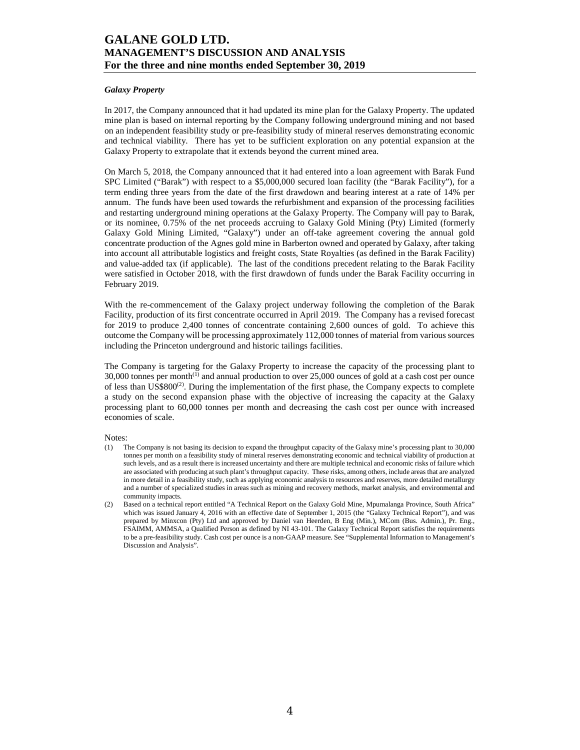### *Galaxy Property*

In 2017, the Company announced that it had updated its mine plan for the Galaxy Property. The updated mine plan is based on internal reporting by the Company following underground mining and not based on an independent feasibility study or pre-feasibility study of mineral reserves demonstrating economic and technical viability. There has yet to be sufficient exploration on any potential expansion at the Galaxy Property to extrapolate that it extends beyond the current mined area.

On March 5, 2018, the Company announced that it had entered into a loan agreement with Barak Fund SPC Limited ("Barak") with respect to a \$5,000,000 secured loan facility (the "Barak Facility"), for a term ending three years from the date of the first drawdown and bearing interest at a rate of 14% per annum. The funds have been used towards the refurbishment and expansion of the processing facilities and restarting underground mining operations at the Galaxy Property. The Company will pay to Barak, or its nominee, 0.75% of the net proceeds accruing to Galaxy Gold Mining (Pty) Limited (formerly Galaxy Gold Mining Limited, "Galaxy") under an off-take agreement covering the annual gold concentrate production of the Agnes gold mine in Barberton owned and operated by Galaxy, after taking into account all attributable logistics and freight costs, State Royalties (as defined in the Barak Facility) and value-added tax (if applicable). The last of the conditions precedent relating to the Barak Facility were satisfied in October 2018, with the first drawdown of funds under the Barak Facility occurring in February 2019.

With the re-commencement of the Galaxy project underway following the completion of the Barak Facility, production of its first concentrate occurred in April 2019. The Company has a revised forecast for 2019 to produce 2,400 tonnes of concentrate containing 2,600 ounces of gold. To achieve this outcome the Company will be processing approximately 112,000 tonnes of material from various sources including the Princeton underground and historic tailings facilities.

The Company is targeting for the Galaxy Property to increase the capacity of the processing plant to  $30,000$  tonnes per month<sup>(1)</sup> and annual production to over  $25,000$  ounces of gold at a cash cost per ounce of less than  $US$800<sup>(2)</sup>$ . During the implementation of the first phase, the Company expects to complete a study on the second expansion phase with the objective of increasing the capacity at the Galaxy processing plant to 60,000 tonnes per month and decreasing the cash cost per ounce with increased economies of scale.

Notes:

- (1) The Company is not basing its decision to expand the throughput capacity of the Galaxy mine's processing plant to 30,000 tonnes per month on a feasibility study of mineral reserves demonstrating economic and technical viability of production at such levels, and as a result there is increased uncertainty and there are multiple technical and economic risks of failure which are associated with producing at such plant's throughput capacity. These risks, among others, include areas that are analyzed in more detail in a feasibility study, such as applying economic analysis to resources and reserves, more detailed metallurgy and a number of specialized studies in areas such as mining and recovery methods, market analysis, and environmental and community impacts.
- (2) Based on a technical report entitled "A Technical Report on the Galaxy Gold Mine, Mpumalanga Province, South Africa" which was issued January 4, 2016 with an effective date of September 1, 2015 (the "Galaxy Technical Report"), and was prepared by Minxcon (Pty) Ltd and approved by Daniel van Heerden, B Eng (Min.), MCom (Bus. Admin.), Pr. Eng., FSAIMM, AMMSA, a Qualified Person as defined by NI 43-101. The Galaxy Technical Report satisfies the requirements to be a pre-feasibility study. Cash cost per ounce is a non-GAAP measure. See "Supplemental Information to Management's Discussion and Analysis".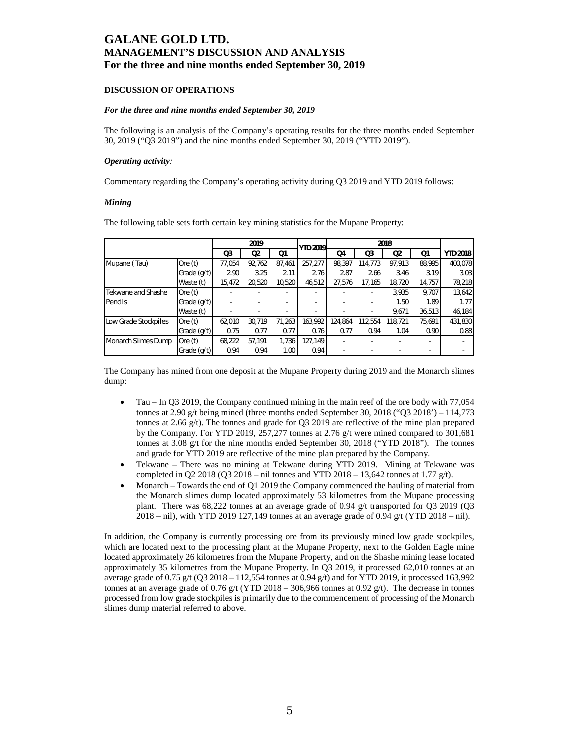### **DISCUSSION OF OPERATIONS**

#### *For the three and nine months ended September 30, 2019*

The following is an analysis of the Company's operating results for the three months ended September 30, 2019 ("Q3 2019") and the nine months ended September 30, 2019 ("YTD 2019").

#### *Operating activity:*

Commentary regarding the Company's operating activity during Q3 2019 and YTD 2019 follows:

#### *Mining*

|                      |             |        | 2019            |                   | <b>YTD 2019</b> |         |         |                |        |                 |
|----------------------|-------------|--------|-----------------|-------------------|-----------------|---------|---------|----------------|--------|-----------------|
|                      |             | Q3     | <b>Q2</b><br>Q1 |                   |                 | Q4      | Q3      | Q <sub>2</sub> | Q1     | <b>YTD 2018</b> |
| Mupane (Tau)         | Ore $(t)$   | 77.054 | 92,762          | 87.461            | 257.277         | 98.397  | 114.773 | 97.913         | 88.995 | 400,078         |
|                      | Grade (g/t) | 2.90   | 3.25            | 2.11              | 2.76            | 2.87    | 2.66    | 3.46           | 3.19   | 3.03            |
|                      | Waste (t)   | 15,472 | 20,520          | 10,520            | 46,512          | 27,576  | 17,165  | 18,720         | 14,757 | 78,218          |
| Tekwane and Shashe   | Ore $(t)$   |        |                 |                   |                 |         | ٠       | 3,935          | 9,707  | 13,642          |
| Pencils              | Grade (g/t) |        |                 |                   |                 |         | ٠       | 1.50           | 1.89   | 1.77            |
|                      | Waste (t)   |        |                 |                   |                 |         | ٠       | 9,671          | 36,513 | 46,184          |
| Low Grade Stockpiles | Ore $(t)$   | 62,010 | 30,719          | 71,263            | 163.992         | 124.864 | 112.554 | 118.721        | 75,691 | 431,830         |
|                      | Grade (g/t) | 0.75   | 0.77            | 0.77              | 0.76            | 0.77    | 0.94    | 1.04           | 0.90   | 0.88            |
| Monarch Slimes Dump  | Ore $(t)$   | 68,222 | 57,191          | 1,736             | 127,149         | ۰       |         |                | ۰.     | ٠               |
|                      | Grade (g/t) | 0.94   | 0.94            | 1.00 <sub>l</sub> | 0.94            |         |         |                |        |                 |

The following table sets forth certain key mining statistics for the Mupane Property:

The Company has mined from one deposit at the Mupane Property during 2019 and the Monarch slimes dump:

- Tau In Q3 2019, the Company continued mining in the main reef of the ore body with 77,054 tonnes at  $2.90 \text{ g/t}$  being mined (three months ended September 30, 2018 ("O3 2018') – 114,773 tonnes at 2.66 g/t). The tonnes and grade for Q3 2019 are reflective of the mine plan prepared by the Company. For YTD 2019, 257,277 tonnes at 2.76 g/t were mined compared to 301,681 tonnes at 3.08 g/t for the nine months ended September 30, 2018 ("YTD 2018"). The tonnes and grade for YTD 2019 are reflective of the mine plan prepared by the Company.
- Tekwane There was no mining at Tekwane during YTD 2019. Mining at Tekwane was completed in Q2 2018 (Q3 2018 – nil tonnes and YTD 2018 – 13,642 tonnes at 1.77  $g(t)$ .
- Monarch Towards the end of Q1 2019 the Company commenced the hauling of material from the Monarch slimes dump located approximately 53 kilometres from the Mupane processing plant. There was 68,222 tonnes at an average grade of 0.94 g/t transported for Q3 2019 (Q3 2018 – nil), with YTD 2019 127,149 tonnes at an average grade of 0.94 g/t (YTD 2018 – nil).

In addition, the Company is currently processing ore from its previously mined low grade stockpiles, which are located next to the processing plant at the Mupane Property, next to the Golden Eagle mine located approximately 26 kilometres from the Mupane Property, and on the Shashe mining lease located approximately 35 kilometres from the Mupane Property. In Q3 2019, it processed 62,010 tonnes at an average grade of 0.75 g/t (Q3 2018 – 112,554 tonnes at 0.94 g/t) and for YTD 2019, it processed 163,992 tonnes at an average grade of 0.76 g/t (YTD 2018 – 306,966 tonnes at 0.92 g/t). The decrease in tonnes processed from low grade stockpiles is primarily due to the commencement of processing of the Monarch slimes dump material referred to above.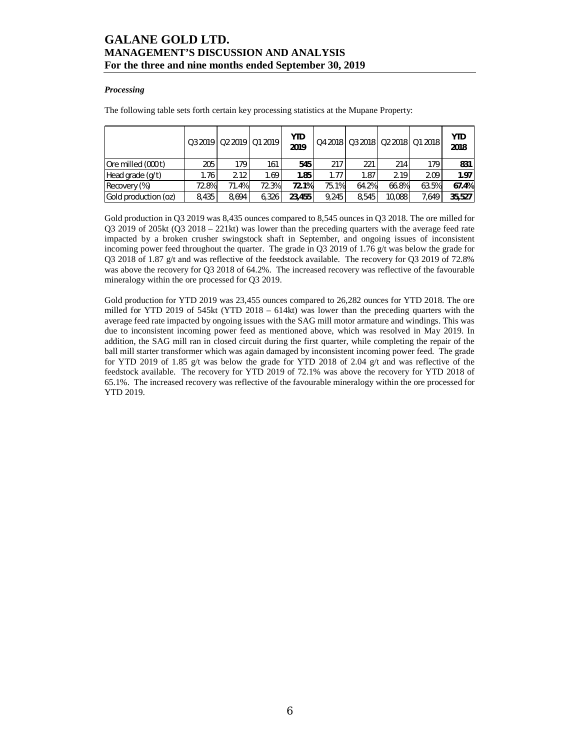### *Processing*

The following table sets forth certain key processing statistics at the Mupane Property:

|                      |       | Q3 2019   Q2 2019   Q1 2019 |       | <b>YTD</b><br>2019 |       |       |        | Q4 2018   Q3 2018   Q2 2018   Q1 2018 | <b>YTD</b><br>2018 |
|----------------------|-------|-----------------------------|-------|--------------------|-------|-------|--------|---------------------------------------|--------------------|
| Ore milled (000 t)   | 205   | 179                         | 161   | 545                | 217   | 221   | 214    | 179 <sub>1</sub>                      | 831                |
| Head grade $(q/t)$   | 1.76  | 2.12                        | 1.69  | 1.85               | 1.77  | 1.87  | 2.19   | 2.09                                  | 1.97               |
| Recovery (%)         | 72.8% | 71.4%                       | 72.3% | 72.1%              | 75.1% | 64.2% | 66.8%  | 63.5%                                 | 67.4%              |
| Gold production (oz) | 8.435 | 8.694                       | 6.326 | 23.455             | 9.245 | 8.545 | 10,088 | 7.649                                 | 35,527             |

Gold production in Q3 2019 was 8,435 ounces compared to 8,545 ounces in Q3 2018. The ore milled for Q3 2019 of 205kt (Q3 2018 – 221kt) was lower than the preceding quarters with the average feed rate impacted by a broken crusher swingstock shaft in September, and ongoing issues of inconsistent incoming power feed throughout the quarter. The grade in Q3 2019 of 1.76 g/t was below the grade for Q3 2018 of 1.87 g/t and was reflective of the feedstock available. The recovery for Q3 2019 of 72.8% was above the recovery for Q3 2018 of 64.2%. The increased recovery was reflective of the favourable mineralogy within the ore processed for Q3 2019.

Gold production for YTD 2019 was 23,455 ounces compared to 26,282 ounces for YTD 2018. The ore milled for YTD 2019 of 545kt (YTD 2018 – 614kt) was lower than the preceding quarters with the average feed rate impacted by ongoing issues with the SAG mill motor armature and windings. This was due to inconsistent incoming power feed as mentioned above, which was resolved in May 2019. In addition, the SAG mill ran in closed circuit during the first quarter, while completing the repair of the ball mill starter transformer which was again damaged by inconsistent incoming power feed. The grade for YTD 2019 of 1.85 g/t was below the grade for YTD 2018 of 2.04 g/t and was reflective of the feedstock available. The recovery for YTD 2019 of 72.1% was above the recovery for YTD 2018 of 65.1%. The increased recovery was reflective of the favourable mineralogy within the ore processed for YTD 2019.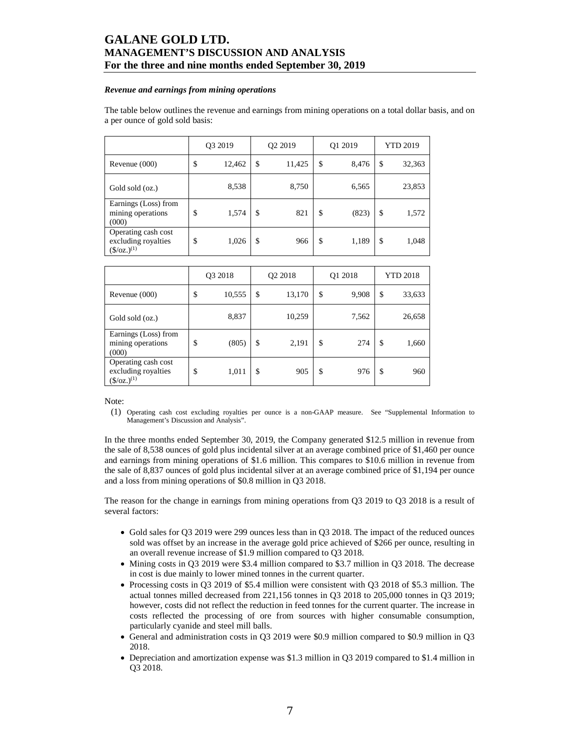#### *Revenue and earnings from mining operations*

The table below outlines the revenue and earnings from mining operations on a total dollar basis, and on a per ounce of gold sold basis:

|                                                                      | Q3 2019 |        | Q <sub>2</sub> 2019 | Q1 2019     | <b>YTD 2019</b> |        |
|----------------------------------------------------------------------|---------|--------|---------------------|-------------|-----------------|--------|
| Revenue $(000)$                                                      | \$      | 12,462 | \$<br>11,425        | \$<br>8,476 | \$              | 32,363 |
| Gold sold (oz.)                                                      |         | 8,538  | 8,750               | 6,565       |                 | 23,853 |
| Earnings (Loss) from<br>mining operations<br>(000)                   | \$      | 1,574  | \$<br>821           | \$<br>(823) | \$              | 1,572  |
| Operating cash cost<br>excluding royalties<br>$(\frac{5}{oz})^{(1)}$ | \$      | 1,026  | \$<br>966           | \$<br>1,189 | \$              | 1,048  |

|                                                                           | O <sub>3</sub> 2018 |        | Q2 2018       |        | Q1 2018     | <b>YTD 2018</b> |        |
|---------------------------------------------------------------------------|---------------------|--------|---------------|--------|-------------|-----------------|--------|
| Revenue $(000)$                                                           | \$                  | 10,555 | <sup>\$</sup> | 13,170 | \$<br>9,908 | \$              | 33,633 |
| Gold sold (oz.)                                                           |                     | 8,837  |               | 10,259 | 7,562       |                 | 26,658 |
| Earnings (Loss) from<br>mining operations<br>(000)                        | \$                  | (805)  | \$            | 2,191  | \$<br>274   | \$              | 1,660  |
| Operating cash cost<br>excluding royalties<br>$(\frac{\csc(1)}{2})^{(1)}$ | \$                  | 1,011  | S             | 905    | \$<br>976   | \$              | 960    |

Note:

(1) Operating cash cost excluding royalties per ounce is a non-GAAP measure. See "Supplemental Information to Management's Discussion and Analysis".

In the three months ended September 30, 2019, the Company generated \$12.5 million in revenue from the sale of 8,538 ounces of gold plus incidental silver at an average combined price of \$1,460 per ounce and earnings from mining operations of \$1.6 million. This compares to \$10.6 million in revenue from the sale of 8,837 ounces of gold plus incidental silver at an average combined price of \$1,194 per ounce and a loss from mining operations of \$0.8 million in Q3 2018.

The reason for the change in earnings from mining operations from Q3 2019 to Q3 2018 is a result of several factors:

- Gold sales for Q3 2019 were 299 ounces less than in Q3 2018. The impact of the reduced ounces sold was offset by an increase in the average gold price achieved of \$266 per ounce, resulting in an overall revenue increase of \$1.9 million compared to Q3 2018.
- Mining costs in Q3 2019 were \$3.4 million compared to \$3.7 million in Q3 2018. The decrease in cost is due mainly to lower mined tonnes in the current quarter.
- Processing costs in Q3 2019 of \$5.4 million were consistent with Q3 2018 of \$5.3 million. The actual tonnes milled decreased from 221,156 tonnes in Q3 2018 to 205,000 tonnes in Q3 2019; however, costs did not reflect the reduction in feed tonnes for the current quarter. The increase in costs reflected the processing of ore from sources with higher consumable consumption, particularly cyanide and steel mill balls.
- General and administration costs in Q3 2019 were \$0.9 million compared to \$0.9 million in Q3 2018.
- Depreciation and amortization expense was \$1.3 million in Q3 2019 compared to \$1.4 million in Q3 2018.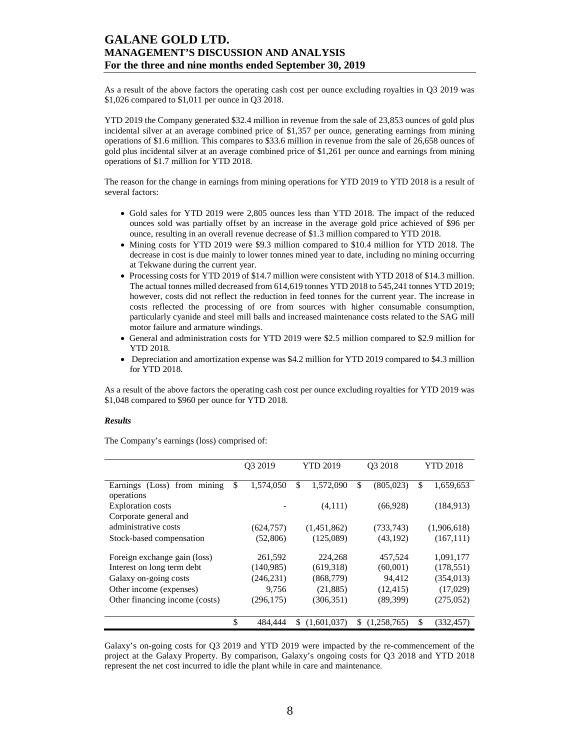As a result of the above factors the operating cash cost per ounce excluding royalties in Q3 2019 was \$1,026 compared to \$1,011 per ounce in Q3 2018.

YTD 2019 the Company generated \$32.4 million in revenue from the sale of 23,853 ounces of gold plus incidental silver at an average combined price of \$1,357 per ounce, generating earnings from mining operations of \$1.6 million. This compares to \$33.6 million in revenue from the sale of 26,658 ounces of gold plus incidental silver at an average combined price of \$1,261 per ounce and earnings from mining operations of \$1.7 million for YTD 2018.

The reason for the change in earnings from mining operations for YTD 2019 to YTD 2018 is a result of several factors:

- Gold sales for YTD 2019 were 2,805 ounces less than YTD 2018. The impact of the reduced ounces sold was partially offset by an increase in the average gold price achieved of \$96 per ounce, resulting in an overall revenue decrease of \$1.3 million compared to YTD 2018.
- Mining costs for YTD 2019 were \$9.3 million compared to \$10.4 million for YTD 2018. The decrease in cost is due mainly to lower tonnes mined year to date, including no mining occurring at Tekwane during the current year.
- Processing costs for YTD 2019 of \$14.7 million were consistent with YTD 2018 of \$14.3 million. The actual tonnes milled decreased from 614,619 tonnes YTD 2018 to 545,241 tonnes YTD 2019; however, costs did not reflect the reduction in feed tonnes for the current year. The increase in costs reflected the processing of ore from sources with higher consumable consumption, particularly cyanide and steel mill balls and increased maintenance costs related to the SAG mill motor failure and armature windings.
- General and administration costs for YTD 2019 were \$2.5 million compared to \$2.9 million for YTD 2018.
- Depreciation and amortization expense was \$4.2 million for YTD 2019 compared to \$4.3 million for YTD 2018.

As a result of the above factors the operating cash cost per ounce excluding royalties for YTD 2019 was \$1,048 compared to \$960 per ounce for YTD 2018.

#### *Results*

The Company's earnings (loss) comprised of:

|                                               | O <sub>3</sub> 2019 | <b>YTD 2019</b> | O <sub>3</sub> 2018 | <b>YTD 2018</b> |
|-----------------------------------------------|---------------------|-----------------|---------------------|-----------------|
| Earnings (Loss) from mining<br>operations     | \$<br>1,574,050     | \$<br>1,572,090 | \$<br>(805, 023)    | \$<br>1,659,653 |
| <b>Exploration costs</b>                      |                     | (4,111)         | (66,928)            | (184, 913)      |
| Corporate general and<br>administrative costs | (624, 757)          | (1,451,862)     | (733, 743)          | (1,906,618)     |
| Stock-based compensation                      | (52, 806)           | (125,089)       | (43, 192)           | (167, 111)      |
| Foreign exchange gain (loss)                  | 261,592             | 224,268         | 457,524             | 1,091,177       |
| Interest on long term debt                    | (140, 985)          | (619,318)       | (60,001)            | (178, 551)      |
| Galaxy on-going costs                         | (246, 231)          | (868, 779)      | 94.412              | (354, 013)      |
| Other income (expenses)                       | 9,756               | (21,885)        | (12, 415)           | (17,029)        |
| Other financing income (costs)                | (296, 175)          | (306, 351)      | (89,399)            | (275,052)       |
|                                               | \$<br>484,444       | (1.601.037)     | \$<br>(1,258,765)   | \$<br>(332,457) |

Galaxy's on-going costs for Q3 2019 and YTD 2019 were impacted by the re-commencement of the project at the Galaxy Property. By comparison, Galaxy's ongoing costs for Q3 2018 and YTD 2018 represent the net cost incurred to idle the plant while in care and maintenance.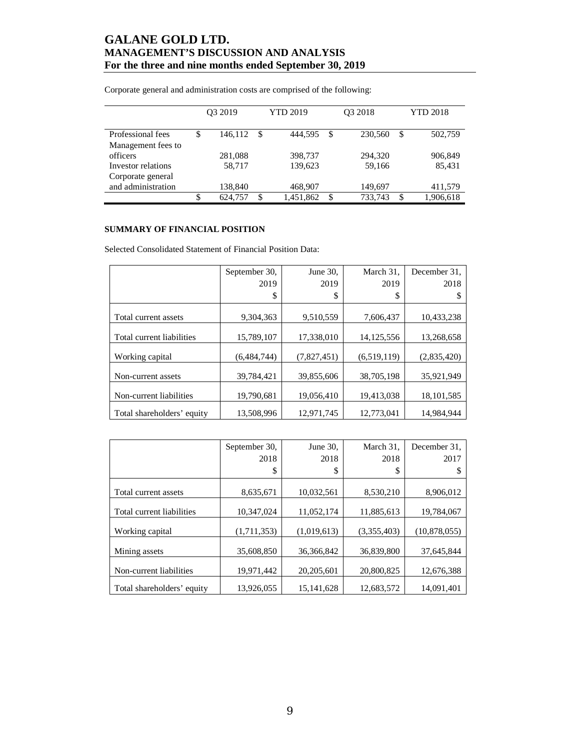|                    |    | O <sub>3</sub> 2019 |     | <b>YTD 2019</b> | O <sub>3</sub> 2018 | <b>YTD 2018</b> |           |
|--------------------|----|---------------------|-----|-----------------|---------------------|-----------------|-----------|
| Professional fees  | S  | 146.112             | -\$ | 444,595         | \$<br>230,560       | S               | 502,759   |
| Management fees to |    |                     |     |                 |                     |                 |           |
| officers           |    | 281,088             |     | 398,737         | 294.320             |                 | 906,849   |
| Investor relations |    | 58,717              |     | 139,623         | 59,166              |                 | 85,431    |
| Corporate general  |    |                     |     |                 |                     |                 |           |
| and administration |    | 138,840             |     | 468,907         | 149,697             |                 | 411,579   |
|                    | \$ | 624,757             | \$  | 1,451,862       | \$<br>733.743       | <sup>\$</sup>   | 1,906,618 |

Corporate general and administration costs are comprised of the following:

## **SUMMARY OF FINANCIAL POSITION**

Selected Consolidated Statement of Financial Position Data:

|                            | September 30, | June 30,    | March 31.    | December 31. |
|----------------------------|---------------|-------------|--------------|--------------|
|                            | 2019          | 2019        | 2019         | 2018         |
|                            | \$            | \$          | S            | S            |
| Total current assets       | 9,304,363     | 9,510,559   | 7,606,437    | 10,433,238   |
| Total current liabilities  | 15,789,107    | 17,338,010  | 14, 125, 556 | 13,268,658   |
| Working capital            | (6,484,744)   | (7,827,451) | (6,519,119)  | (2,835,420)  |
| Non-current assets         | 39,784,421    | 39,855,606  | 38,705,198   | 35,921,949   |
| Non-current liabilities    | 19,790,681    | 19,056,410  | 19,413,038   | 18, 101, 585 |
| Total shareholders' equity | 13,508,996    | 12.971.745  | 12.773.041   | 14.984.944   |

|                            | September 30, | June 30,     | March 31.   | December 31.   |
|----------------------------|---------------|--------------|-------------|----------------|
|                            | 2018          | 2018         | 2018        | 2017           |
|                            | \$            | \$           | \$          |                |
|                            |               |              |             |                |
| Total current assets       | 8,635,671     | 10,032,561   | 8,530,210   | 8,906,012      |
|                            |               |              |             |                |
| Total current liabilities  | 10.347.024    | 11.052.174   | 11.885.613  | 19,784,067     |
| Working capital            | (1,711,353)   | (1,019,613)  | (3,355,403) | (10, 878, 055) |
|                            |               |              |             |                |
| Mining assets              | 35,608,850    | 36, 366, 842 | 36,839,800  | 37.645.844     |
| Non-current liabilities    | 19,971,442    | 20,205,601   | 20,800,825  | 12,676,388     |
| Total shareholders' equity | 13,926,055    | 15, 141, 628 | 12,683,572  | 14,091,401     |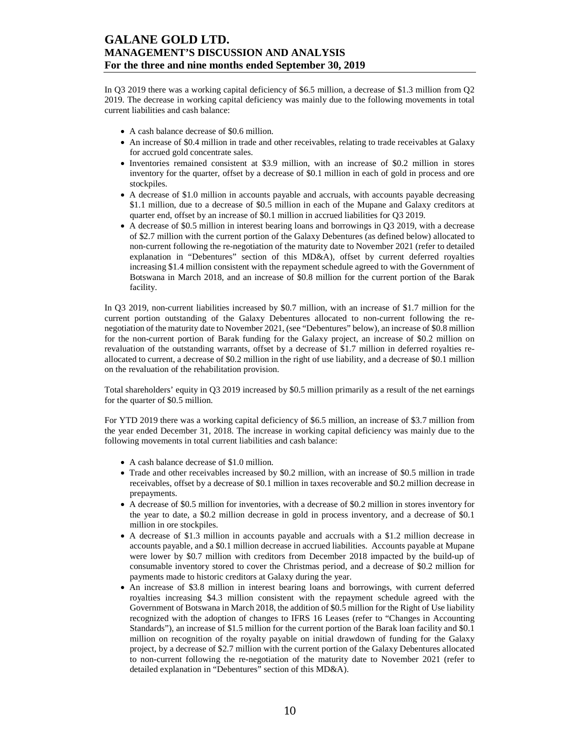In Q3 2019 there was a working capital deficiency of \$6.5 million, a decrease of \$1.3 million from Q2 2019. The decrease in working capital deficiency was mainly due to the following movements in total current liabilities and cash balance:

- A cash balance decrease of \$0.6 million.
- An increase of \$0.4 million in trade and other receivables, relating to trade receivables at Galaxy for accrued gold concentrate sales.
- Inventories remained consistent at \$3.9 million, with an increase of \$0.2 million in stores inventory for the quarter, offset by a decrease of \$0.1 million in each of gold in process and ore stockpiles.
- A decrease of \$1.0 million in accounts payable and accruals, with accounts payable decreasing \$1.1 million, due to a decrease of \$0.5 million in each of the Mupane and Galaxy creditors at quarter end, offset by an increase of \$0.1 million in accrued liabilities for Q3 2019.
- A decrease of \$0.5 million in interest bearing loans and borrowings in Q3 2019, with a decrease of \$2.7 million with the current portion of the Galaxy Debentures (as defined below) allocated to non-current following the re-negotiation of the maturity date to November 2021 (refer to detailed explanation in "Debentures" section of this MD&A), offset by current deferred royalties increasing \$1.4 million consistent with the repayment schedule agreed to with the Government of Botswana in March 2018, and an increase of \$0.8 million for the current portion of the Barak facility.

In Q3 2019, non-current liabilities increased by \$0.7 million, with an increase of \$1.7 million for the current portion outstanding of the Galaxy Debentures allocated to non-current following the renegotiation of the maturity date to November 2021, (see "Debentures" below), an increase of \$0.8 million for the non-current portion of Barak funding for the Galaxy project, an increase of \$0.2 million on revaluation of the outstanding warrants, offset by a decrease of \$1.7 million in deferred royalties reallocated to current, a decrease of \$0.2 million in the right of use liability, and a decrease of \$0.1 million on the revaluation of the rehabilitation provision.

Total shareholders' equity in Q3 2019 increased by \$0.5 million primarily as a result of the net earnings for the quarter of \$0.5 million.

For YTD 2019 there was a working capital deficiency of \$6.5 million, an increase of \$3.7 million from the year ended December 31, 2018. The increase in working capital deficiency was mainly due to the following movements in total current liabilities and cash balance:

- A cash balance decrease of \$1.0 million.
- Trade and other receivables increased by \$0.2 million, with an increase of \$0.5 million in trade receivables, offset by a decrease of \$0.1 million in taxes recoverable and \$0.2 million decrease in prepayments.
- A decrease of \$0.5 million for inventories, with a decrease of \$0.2 million in stores inventory for the year to date, a \$0.2 million decrease in gold in process inventory, and a decrease of \$0.1 million in ore stockpiles.
- A decrease of \$1.3 million in accounts payable and accruals with a \$1.2 million decrease in accounts payable, and a \$0.1 million decrease in accrued liabilities. Accounts payable at Mupane were lower by \$0.7 million with creditors from December 2018 impacted by the build-up of consumable inventory stored to cover the Christmas period, and a decrease of \$0.2 million for payments made to historic creditors at Galaxy during the year.
- An increase of \$3.8 million in interest bearing loans and borrowings, with current deferred royalties increasing \$4.3 million consistent with the repayment schedule agreed with the Government of Botswana in March 2018, the addition of \$0.5 million for the Right of Use liability recognized with the adoption of changes to IFRS 16 Leases (refer to "Changes in Accounting Standards"), an increase of \$1.5 million for the current portion of the Barak loan facility and \$0.1 million on recognition of the royalty payable on initial drawdown of funding for the Galaxy project, by a decrease of \$2.7 million with the current portion of the Galaxy Debentures allocated to non-current following the re-negotiation of the maturity date to November 2021 (refer to detailed explanation in "Debentures" section of this MD&A).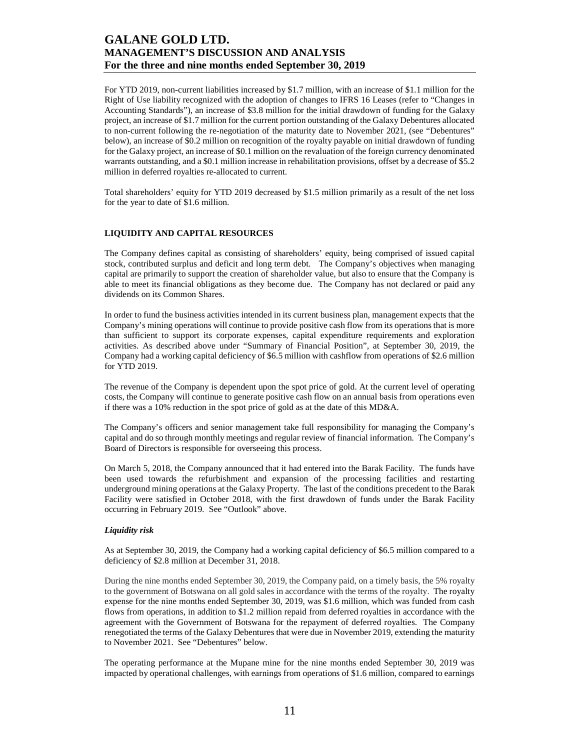For YTD 2019, non-current liabilities increased by \$1.7 million, with an increase of \$1.1 million for the Right of Use liability recognized with the adoption of changes to IFRS 16 Leases (refer to "Changes in Accounting Standards"), an increase of \$3.8 million for the initial drawdown of funding for the Galaxy project, an increase of \$1.7 million for the current portion outstanding of the Galaxy Debentures allocated to non-current following the re-negotiation of the maturity date to November 2021, (see "Debentures" below), an increase of \$0.2 million on recognition of the royalty payable on initial drawdown of funding for the Galaxy project, an increase of \$0.1 million on the revaluation of the foreign currency denominated warrants outstanding, and a \$0.1 million increase in rehabilitation provisions, offset by a decrease of \$5.2 million in deferred royalties re-allocated to current.

Total shareholders' equity for YTD 2019 decreased by \$1.5 million primarily as a result of the net loss for the year to date of \$1.6 million.

### **LIQUIDITY AND CAPITAL RESOURCES**

The Company defines capital as consisting of shareholders' equity, being comprised of issued capital stock, contributed surplus and deficit and long term debt. The Company's objectives when managing capital are primarily to support the creation of shareholder value, but also to ensure that the Company is able to meet its financial obligations as they become due. The Company has not declared or paid any dividends on its Common Shares.

In order to fund the business activities intended in its current business plan, management expects that the Company's mining operations will continue to provide positive cash flow from its operations that is more than sufficient to support its corporate expenses, capital expenditure requirements and exploration activities. As described above under "Summary of Financial Position", at September 30, 2019, the Company had a working capital deficiency of \$6.5 million with cashflow from operations of \$2.6 million for YTD 2019.

The revenue of the Company is dependent upon the spot price of gold. At the current level of operating costs, the Company will continue to generate positive cash flow on an annual basis from operations even if there was a 10% reduction in the spot price of gold as at the date of this MD&A.

The Company's officers and senior management take full responsibility for managing the Company's capital and do so through monthly meetings and regular review of financial information. The Company's Board of Directors is responsible for overseeing this process.

On March 5, 2018, the Company announced that it had entered into the Barak Facility. The funds have been used towards the refurbishment and expansion of the processing facilities and restarting underground mining operations at the Galaxy Property. The last of the conditions precedent to the Barak Facility were satisfied in October 2018, with the first drawdown of funds under the Barak Facility occurring in February 2019. See "Outlook" above.

#### *Liquidity risk*

As at September 30, 2019, the Company had a working capital deficiency of \$6.5 million compared to a deficiency of \$2.8 million at December 31, 2018.

During the nine months ended September 30, 2019, the Company paid, on a timely basis, the 5% royalty to the government of Botswana on all gold sales in accordance with the terms of the royalty. The royalty expense for the nine months ended September 30, 2019, was \$1.6 million, which was funded from cash flows from operations, in addition to \$1.2 million repaid from deferred royalties in accordance with the agreement with the Government of Botswana for the repayment of deferred royalties. The Company renegotiated the terms of the Galaxy Debentures that were due in November 2019, extending the maturity to November 2021. See "Debentures" below.

The operating performance at the Mupane mine for the nine months ended September 30, 2019 was impacted by operational challenges, with earnings from operations of \$1.6 million, compared to earnings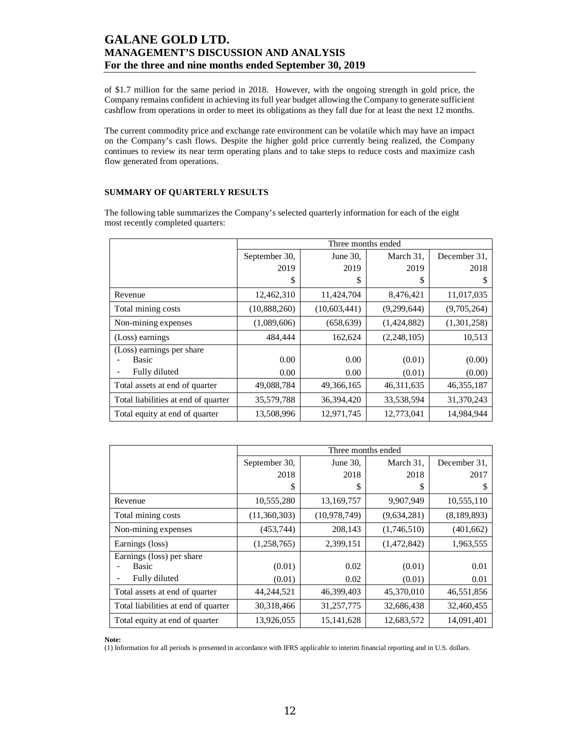of \$1.7 million for the same period in 2018. However, with the ongoing strength in gold price, the Company remains confident in achieving its full year budget allowing the Company to generate sufficient cashflow from operations in order to meet its obligations as they fall due for at least the next 12 months.

The current commodity price and exchange rate environment can be volatile which may have an impact on the Company's cash flows. Despite the higher gold price currently being realized, the Company continues to review its near term operating plans and to take steps to reduce costs and maximize cash flow generated from operations.

### **SUMMARY OF QUARTERLY RESULTS**

The following table summarizes the Company's selected quarterly information for each of the eight most recently completed quarters:

|                                     |               | Three months ended |              |              |
|-------------------------------------|---------------|--------------------|--------------|--------------|
|                                     | September 30, | June 30,           | March 31,    | December 31. |
|                                     | 2019          | 2019               | 2019         | 2018         |
|                                     | \$            | S                  | S            | S            |
| Revenue                             | 12,462,310    | 11,424,704         | 8,476,421    | 11,017,035   |
| Total mining costs                  | (10,888,260)  | (10, 603, 441)     | (9,299,644)  | (9,705,264)  |
| Non-mining expenses                 | (1,089,606)   | (658, 639)         | (1,424,882)  | (1,301,258)  |
| (Loss) earnings                     | 484,444       | 162,624            | (2,248,105)  | 10,513       |
| (Loss) earnings per share           |               |                    |              |              |
| <b>Basic</b>                        | 0.00          | 0.00               | (0.01)       | (0.00)       |
| Fully diluted                       | 0.00          | 0.00               | (0.01)       | (0.00)       |
| Total assets at end of quarter      | 49,088,784    | 49,366,165         | 46, 311, 635 | 46, 355, 187 |
| Total liabilities at end of quarter | 35,579,788    | 36,394,420         | 33,538,594   | 31,370,243   |
| Total equity at end of quarter      | 13,508,996    | 12,971,745         | 12,773,041   | 14,984,944   |

|                                     |               | Three months ended |             |              |
|-------------------------------------|---------------|--------------------|-------------|--------------|
|                                     | September 30, | June 30,           | March 31,   | December 31. |
|                                     | 2018          | 2018               | 2018        | 2017         |
|                                     | \$            | S                  | S           | S            |
| Revenue                             | 10,555,280    | 13,169,757         | 9,907,949   | 10,555,110   |
| Total mining costs                  | (11,360,303)  | (10, 978, 749)     | (9,634,281) | (8,189,893)  |
| Non-mining expenses                 | (453,744)     | 208,143            | (1,746,510) | (401, 662)   |
| Earnings (loss)                     | (1,258,765)   | 2,399,151          | (1,472,842) | 1,963,555    |
| Earnings (loss) per share           |               |                    |             |              |
| <b>Basic</b>                        | (0.01)        | 0.02               | (0.01)      | 0.01         |
| Fully diluted                       | (0.01)        | 0.02               | (0.01)      | 0.01         |
| Total assets at end of quarter      | 44,244,521    | 46,399,403         | 45,370,010  | 46,551,856   |
| Total liabilities at end of quarter | 30,318,466    | 31,257,775         | 32,686,438  | 32,460,455   |
| Total equity at end of quarter      | 13,926,055    | 15, 141, 628       | 12,683,572  | 14,091,401   |

**Note:** 

(1) Information for all periods is presented in accordance with IFRS applicable to interim financial reporting and in U.S. dollars.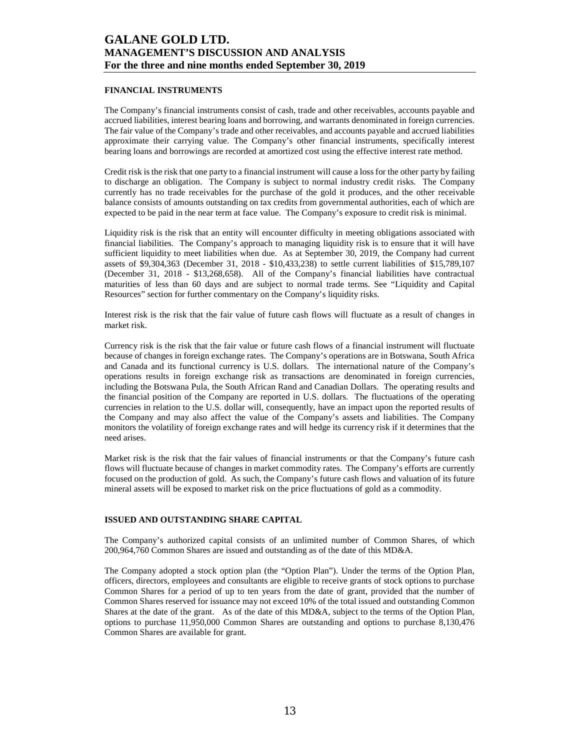### **FINANCIAL INSTRUMENTS**

The Company's financial instruments consist of cash, trade and other receivables, accounts payable and accrued liabilities, interest bearing loans and borrowing, and warrants denominated in foreign currencies. The fair value of the Company's trade and other receivables, and accounts payable and accrued liabilities approximate their carrying value. The Company's other financial instruments, specifically interest bearing loans and borrowings are recorded at amortized cost using the effective interest rate method.

Credit risk is the risk that one party to a financial instrument will cause a loss for the other party by failing to discharge an obligation. The Company is subject to normal industry credit risks. The Company currently has no trade receivables for the purchase of the gold it produces, and the other receivable balance consists of amounts outstanding on tax credits from governmental authorities, each of which are expected to be paid in the near term at face value. The Company's exposure to credit risk is minimal.

Liquidity risk is the risk that an entity will encounter difficulty in meeting obligations associated with financial liabilities. The Company's approach to managing liquidity risk is to ensure that it will have sufficient liquidity to meet liabilities when due. As at September 30, 2019, the Company had current assets of \$9,304,363 (December 31, 2018 - \$10,433,238) to settle current liabilities of \$15,789,107 (December 31, 2018 - \$13,268,658). All of the Company's financial liabilities have contractual maturities of less than 60 days and are subject to normal trade terms. See "Liquidity and Capital Resources" section for further commentary on the Company's liquidity risks.

Interest risk is the risk that the fair value of future cash flows will fluctuate as a result of changes in market risk.

Currency risk is the risk that the fair value or future cash flows of a financial instrument will fluctuate because of changes in foreign exchange rates. The Company's operations are in Botswana, South Africa and Canada and its functional currency is U.S. dollars. The international nature of the Company's operations results in foreign exchange risk as transactions are denominated in foreign currencies, including the Botswana Pula, the South African Rand and Canadian Dollars. The operating results and the financial position of the Company are reported in U.S. dollars. The fluctuations of the operating currencies in relation to the U.S. dollar will, consequently, have an impact upon the reported results of the Company and may also affect the value of the Company's assets and liabilities. The Company monitors the volatility of foreign exchange rates and will hedge its currency risk if it determines that the need arises.

Market risk is the risk that the fair values of financial instruments or that the Company's future cash flows will fluctuate because of changes in market commodity rates. The Company's efforts are currently focused on the production of gold. As such, the Company's future cash flows and valuation of its future mineral assets will be exposed to market risk on the price fluctuations of gold as a commodity.

#### **ISSUED AND OUTSTANDING SHARE CAPITAL**

The Company's authorized capital consists of an unlimited number of Common Shares, of which 200,964,760 Common Shares are issued and outstanding as of the date of this MD&A.

The Company adopted a stock option plan (the "Option Plan"). Under the terms of the Option Plan, officers, directors, employees and consultants are eligible to receive grants of stock options to purchase Common Shares for a period of up to ten years from the date of grant, provided that the number of Common Shares reserved for issuance may not exceed 10% of the total issued and outstanding Common Shares at the date of the grant. As of the date of this MD&A, subject to the terms of the Option Plan, options to purchase 11,950,000 Common Shares are outstanding and options to purchase 8,130,476 Common Shares are available for grant.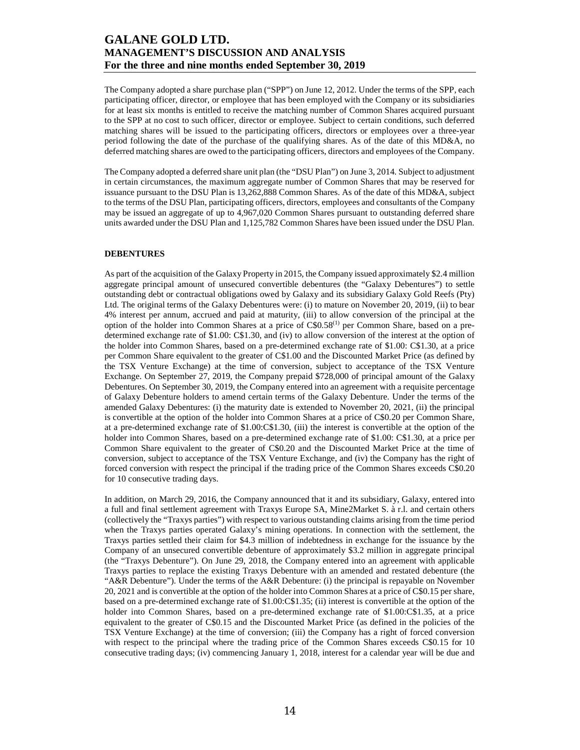The Company adopted a share purchase plan ("SPP") on June 12, 2012. Under the terms of the SPP, each participating officer, director, or employee that has been employed with the Company or its subsidiaries for at least six months is entitled to receive the matching number of Common Shares acquired pursuant to the SPP at no cost to such officer, director or employee. Subject to certain conditions, such deferred matching shares will be issued to the participating officers, directors or employees over a three-year period following the date of the purchase of the qualifying shares. As of the date of this MD&A, no deferred matching shares are owed to the participating officers, directors and employees of the Company.

The Company adopted a deferred share unit plan (the "DSU Plan") on June 3, 2014. Subject to adjustment in certain circumstances, the maximum aggregate number of Common Shares that may be reserved for issuance pursuant to the DSU Plan is 13,262,888 Common Shares. As of the date of this MD&A, subject to the terms of the DSU Plan, participating officers, directors, employees and consultants of the Company may be issued an aggregate of up to 4,967,020 Common Shares pursuant to outstanding deferred share units awarded under the DSU Plan and 1,125,782 Common Shares have been issued under the DSU Plan.

#### **DEBENTURES**

As part of the acquisition of the Galaxy Property in 2015, the Company issued approximately \$2.4 million aggregate principal amount of unsecured convertible debentures (the "Galaxy Debentures") to settle outstanding debt or contractual obligations owed by Galaxy and its subsidiary Galaxy Gold Reefs (Pty) Ltd. The original terms of the Galaxy Debentures were: (i) to mature on November 20, 2019, (ii) to bear 4% interest per annum, accrued and paid at maturity, (iii) to allow conversion of the principal at the option of the holder into Common Shares at a price of C\$0.58(1) per Common Share, based on a predetermined exchange rate of \$1.00: C\$1.30, and (iv) to allow conversion of the interest at the option of the holder into Common Shares, based on a pre-determined exchange rate of \$1.00: C\$1.30, at a price per Common Share equivalent to the greater of C\$1.00 and the Discounted Market Price (as defined by the TSX Venture Exchange) at the time of conversion, subject to acceptance of the TSX Venture Exchange. On September 27, 2019, the Company prepaid \$728,000 of principal amount of the Galaxy Debentures. On September 30, 2019, the Company entered into an agreement with a requisite percentage of Galaxy Debenture holders to amend certain terms of the Galaxy Debenture. Under the terms of the amended Galaxy Debentures: (i) the maturity date is extended to November 20, 2021, (ii) the principal is convertible at the option of the holder into Common Shares at a price of C\$0.20 per Common Share, at a pre-determined exchange rate of \$1.00:C\$1.30, (iii) the interest is convertible at the option of the holder into Common Shares, based on a pre-determined exchange rate of \$1.00: C\$1.30, at a price per Common Share equivalent to the greater of C\$0.20 and the Discounted Market Price at the time of conversion, subject to acceptance of the TSX Venture Exchange, and (iv) the Company has the right of forced conversion with respect the principal if the trading price of the Common Shares exceeds C\$0.20 for 10 consecutive trading days.

In addition, on March 29, 2016, the Company announced that it and its subsidiary, Galaxy, entered into a full and final settlement agreement with Traxys Europe SA, Mine2Market S. à r.l. and certain others (collectively the "Traxys parties") with respect to various outstanding claims arising from the time period when the Traxys parties operated Galaxy's mining operations. In connection with the settlement, the Traxys parties settled their claim for \$4.3 million of indebtedness in exchange for the issuance by the Company of an unsecured convertible debenture of approximately \$3.2 million in aggregate principal (the "Traxys Debenture"). On June 29, 2018, the Company entered into an agreement with applicable Traxys parties to replace the existing Traxys Debenture with an amended and restated debenture (the "A&R Debenture"). Under the terms of the A&R Debenture: (i) the principal is repayable on November 20, 2021 and is convertible at the option of the holder into Common Shares at a price of C\$0.15 per share, based on a pre-determined exchange rate of \$1.00:C\$1.35; (ii) interest is convertible at the option of the holder into Common Shares, based on a pre-determined exchange rate of \$1.00:C\$1.35, at a price equivalent to the greater of C\$0.15 and the Discounted Market Price (as defined in the policies of the TSX Venture Exchange) at the time of conversion; (iii) the Company has a right of forced conversion with respect to the principal where the trading price of the Common Shares exceeds C\$0.15 for 10 consecutive trading days; (iv) commencing January 1, 2018, interest for a calendar year will be due and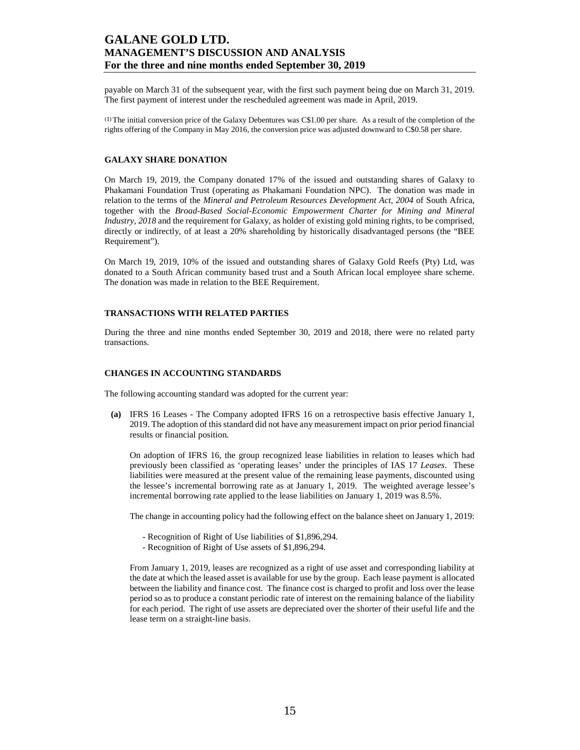payable on March 31 of the subsequent year, with the first such payment being due on March 31, 2019. The first payment of interest under the rescheduled agreement was made in April, 2019.

(1) The initial conversion price of the Galaxy Debentures was C\$1.00 per share. As a result of the completion of the rights offering of the Company in May 2016, the conversion price was adjusted downward to C\$0.58 per share.

### **GALAXY SHARE DONATION**

On March 19, 2019, the Company donated 17% of the issued and outstanding shares of Galaxy to Phakamani Foundation Trust (operating as Phakamani Foundation NPC). The donation was made in relation to the terms of the *Mineral and Petroleum Resources Development Act, 2004* of South Africa, together with the *Broad-Based Social-Economic Empowerment Charter for Mining and Mineral Industry, 2018* and the requirement for Galaxy, as holder of existing gold mining rights, to be comprised, directly or indirectly, of at least a 20% shareholding by historically disadvantaged persons (the "BEE Requirement").

On March 19, 2019, 10% of the issued and outstanding shares of Galaxy Gold Reefs (Pty) Ltd, was donated to a South African community based trust and a South African local employee share scheme. The donation was made in relation to the BEE Requirement.

### **TRANSACTIONS WITH RELATED PARTIES**

During the three and nine months ended September 30, 2019 and 2018, there were no related party transactions.

#### **CHANGES IN ACCOUNTING STANDARDS**

The following accounting standard was adopted for the current year:

**(a)** IFRS 16 Leases - The Company adopted IFRS 16 on a retrospective basis effective January 1, 2019. The adoption of this standard did not have any measurement impact on prior period financial results or financial position.

On adoption of IFRS 16, the group recognized lease liabilities in relation to leases which had previously been classified as 'operating leases' under the principles of IAS 17 *Leases*. These liabilities were measured at the present value of the remaining lease payments, discounted using the lessee's incremental borrowing rate as at January 1, 2019. The weighted average lessee's incremental borrowing rate applied to the lease liabilities on January 1, 2019 was 8.5%.

The change in accounting policy had the following effect on the balance sheet on January 1, 2019:

- Recognition of Right of Use liabilities of \$1,896,294.
- Recognition of Right of Use assets of \$1,896,294.

From January 1, 2019, leases are recognized as a right of use asset and corresponding liability at the date at which the leased asset is available for use by the group. Each lease payment is allocated between the liability and finance cost. The finance cost is charged to profit and loss over the lease period so as to produce a constant periodic rate of interest on the remaining balance of the liability for each period. The right of use assets are depreciated over the shorter of their useful life and the lease term on a straight-line basis.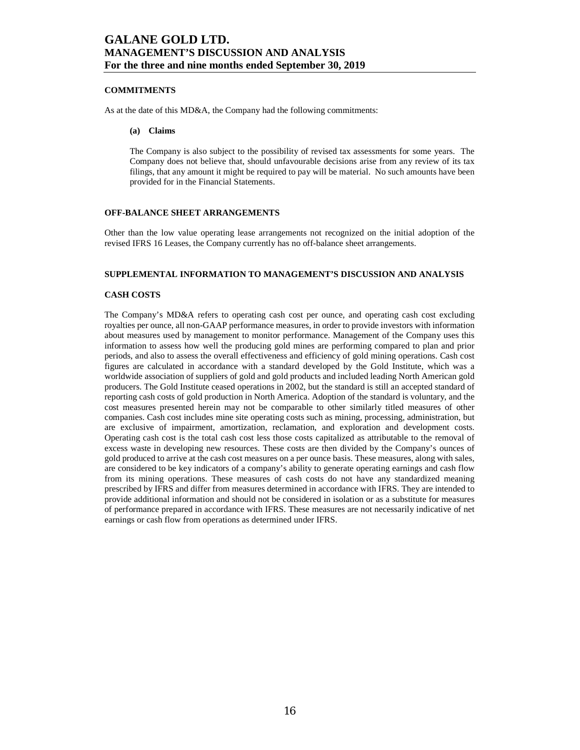### **COMMITMENTS**

As at the date of this MD&A, the Company had the following commitments:

#### **(a) Claims**

The Company is also subject to the possibility of revised tax assessments for some years. The Company does not believe that, should unfavourable decisions arise from any review of its tax filings, that any amount it might be required to pay will be material. No such amounts have been provided for in the Financial Statements.

### **OFF-BALANCE SHEET ARRANGEMENTS**

Other than the low value operating lease arrangements not recognized on the initial adoption of the revised IFRS 16 Leases, the Company currently has no off-balance sheet arrangements.

## **SUPPLEMENTAL INFORMATION TO MANAGEMENT'S DISCUSSION AND ANALYSIS**

### **CASH COSTS**

The Company's MD&A refers to operating cash cost per ounce, and operating cash cost excluding royalties per ounce, all non-GAAP performance measures, in order to provide investors with information about measures used by management to monitor performance. Management of the Company uses this information to assess how well the producing gold mines are performing compared to plan and prior periods, and also to assess the overall effectiveness and efficiency of gold mining operations. Cash cost figures are calculated in accordance with a standard developed by the Gold Institute, which was a worldwide association of suppliers of gold and gold products and included leading North American gold producers. The Gold Institute ceased operations in 2002, but the standard is still an accepted standard of reporting cash costs of gold production in North America. Adoption of the standard is voluntary, and the cost measures presented herein may not be comparable to other similarly titled measures of other companies. Cash cost includes mine site operating costs such as mining, processing, administration, but are exclusive of impairment, amortization, reclamation, and exploration and development costs. Operating cash cost is the total cash cost less those costs capitalized as attributable to the removal of excess waste in developing new resources. These costs are then divided by the Company's ounces of gold produced to arrive at the cash cost measures on a per ounce basis. These measures, along with sales, are considered to be key indicators of a company's ability to generate operating earnings and cash flow from its mining operations. These measures of cash costs do not have any standardized meaning prescribed by IFRS and differ from measures determined in accordance with IFRS. They are intended to provide additional information and should not be considered in isolation or as a substitute for measures of performance prepared in accordance with IFRS. These measures are not necessarily indicative of net earnings or cash flow from operations as determined under IFRS.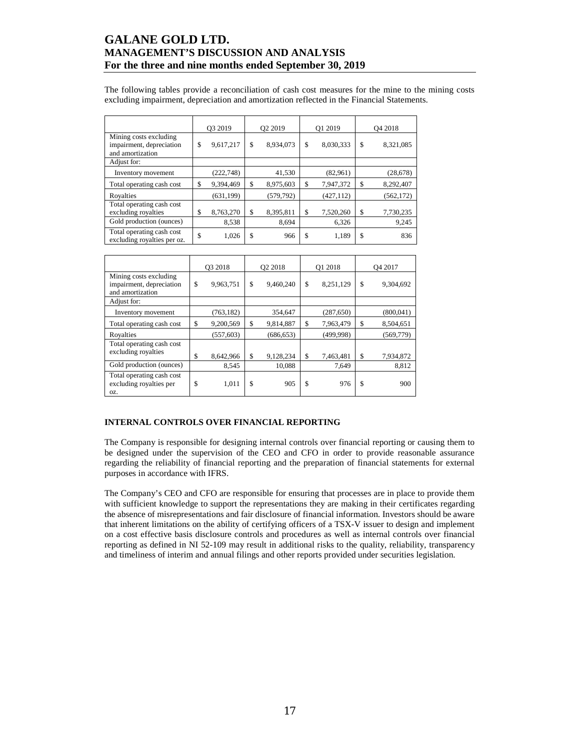The following tables provide a reconciliation of cash cost measures for the mine to the mining costs excluding impairment, depreciation and amortization reflected in the Financial Statements.

|                                                                        | O <sub>3</sub> 2019 |            | Q <sub>2</sub> 2019 |            | O1 2019         | O <sub>4</sub> 2018 |            |
|------------------------------------------------------------------------|---------------------|------------|---------------------|------------|-----------------|---------------------|------------|
| Mining costs excluding<br>impairment, depreciation<br>and amortization | \$                  | 9,617,217  | \$                  | 8,934,073  | \$<br>8,030,333 | \$                  | 8,321,085  |
| Adjust for:                                                            |                     |            |                     |            |                 |                     |            |
| Inventory movement                                                     |                     | (222, 748) |                     | 41,530     | (82,961)        |                     | (28,678)   |
| Total operating cash cost                                              | \$                  | 9,394,469  | \$                  | 8,975,603  | \$<br>7,947,372 | \$                  | 8,292,407  |
| Royalties                                                              |                     | (631, 199) |                     | (579, 792) | (427, 112)      |                     | (562, 172) |
| Total operating cash cost<br>excluding royalties                       | \$                  | 8,763,270  | \$                  | 8,395,811  | \$<br>7,520,260 | \$                  | 7,730,235  |
| Gold production (ounces)                                               |                     | 8,538      |                     | 8,694      | 6,326           |                     | 9,245      |
| Total operating cash cost<br>excluding royalties per oz.               | \$                  | 1,026      | \$                  | 966        | \$<br>1,189     | \$                  | 836        |

|                                                                        | O3 2018         | Q2 2018         | O1 2018         | O <sub>4</sub> 2017 |
|------------------------------------------------------------------------|-----------------|-----------------|-----------------|---------------------|
| Mining costs excluding<br>impairment, depreciation<br>and amortization | \$<br>9,963,751 | \$<br>9,460,240 | \$<br>8,251,129 | \$<br>9,304,692     |
| Adjust for:                                                            |                 |                 |                 |                     |
| Inventory movement                                                     | (763, 182)      | 354,647         | (287, 650)      | (800, 041)          |
| Total operating cash cost                                              | \$<br>9,200,569 | \$<br>9,814,887 | \$<br>7,963,479 | \$<br>8,504,651     |
| Royalties                                                              | (557, 603)      | (686, 653)      | (499, 998)      | (569, 779)          |
| Total operating cash cost<br>excluding royalties                       | \$<br>8,642,966 | \$<br>9,128,234 | \$<br>7,463,481 | \$<br>7,934,872     |
| Gold production (ounces)                                               | 8,545           | 10.088          | 7.649           | 8,812               |
| Total operating cash cost<br>excluding royalties per<br>OZ.            | \$<br>1,011     | \$<br>905       | \$<br>976       | \$<br>900           |

### **INTERNAL CONTROLS OVER FINANCIAL REPORTING**

The Company is responsible for designing internal controls over financial reporting or causing them to be designed under the supervision of the CEO and CFO in order to provide reasonable assurance regarding the reliability of financial reporting and the preparation of financial statements for external purposes in accordance with IFRS.

The Company's CEO and CFO are responsible for ensuring that processes are in place to provide them with sufficient knowledge to support the representations they are making in their certificates regarding the absence of misrepresentations and fair disclosure of financial information. Investors should be aware that inherent limitations on the ability of certifying officers of a TSX-V issuer to design and implement on a cost effective basis disclosure controls and procedures as well as internal controls over financial reporting as defined in NI 52-109 may result in additional risks to the quality, reliability, transparency and timeliness of interim and annual filings and other reports provided under securities legislation.